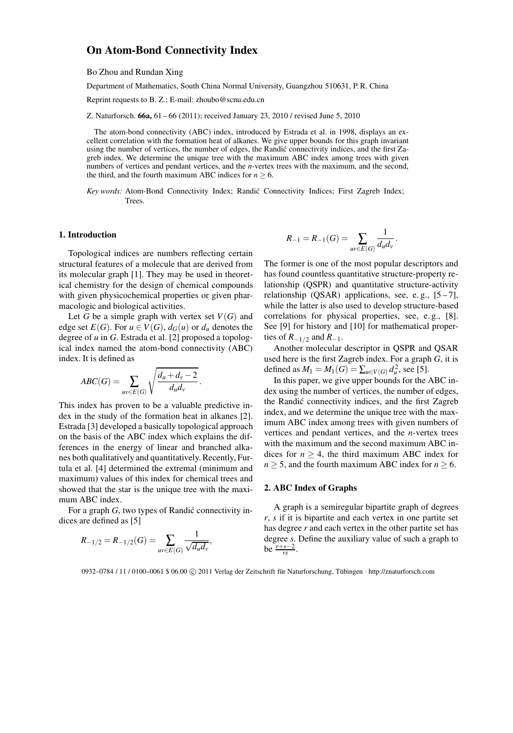# On Atom-Bond Connectivity Index

Bo Zhou and Rundan Xing

Department of Mathematics, South China Normal University, Guangzhou 510631, P. R. China

Reprint requests to B. Z.; E-mail: zhoubo@scnu.edu.cn

Z. Naturforsch. 66a, 61 – 66 (2011); received January 23, 2010 / revised June 5, 2010

The atom-bond connectivity (ABC) index, introduced by Estrada et al. in 1998, displays an excellent correlation with the formation heat of alkanes. We give upper bounds for this graph invariant using the number of vertices, the number of edges, the Randić connectivity indices, and the first Zagreb index. We determine the unique tree with the maximum ABC index among trees with given numbers of vertices and pendant vertices, and the *n*-vertex trees with the maximum, and the second, the third, and the fourth maximum ABC indices for  $n \geq 6$ .

Key words: Atom-Bond Connectivity Index; Randić Connectivity Indices; First Zagreb Index; Trees.

### 1. Introduction

Topological indices are numbers reflecting certain structural features of a molecule that are derived from its molecular graph [1]. They may be used in theoretical chemistry for the design of chemical compounds with given physicochemical properties or given pharmacologic and biological activities.

Let *G* be a simple graph with vertex set  $V(G)$  and edge set  $E(G)$ . For  $u \in V(G)$ ,  $d_G(u)$  or  $d_u$  denotes the degree of *u* in *G*. Estrada et al. [2] proposed a topological index named the atom-bond connectivity (ABC) index. It is defined as

$$
ABC(G) = \sum_{uv \in E(G)} \sqrt{\frac{d_u + d_v - 2}{d_u d_v}}.
$$

This index has proven to be a valuable predictive index in the study of the formation heat in alkanes [2]. Estrada [3] developed a basically topological approach on the basis of the ABC index which explains the differences in the energy of linear and branched alkanes both qualitatively and quantitatively. Recently, Furtula et al. [4] determined the extremal (minimum and maximum) values of this index for chemical trees and showed that the star is the unique tree with the maximum ABC index.

For a graph *G*, two types of Randić connectivity indices are defined as [5]

$$
R_{-1/2} = R_{-1/2}(G) = \sum_{uv \in E(G)} \frac{1}{\sqrt{d_u d_v}},
$$

$$
R_{-1} = R_{-1}(G) = \sum_{uv \in E(G)} \frac{1}{d_u d_v}.
$$

The former is one of the most popular descriptors and has found countless quantitative structure-property relationship (QSPR) and quantitative structure-activity relationship (QSAR) applications, see, e.g.,  $[5-7]$ , while the latter is also used to develop structure-based correlations for physical properties, see, e. g., [8]. See [9] for history and [10] for mathematical properties of  $R_{-1/2}$  and  $R_{-1}$ .

Another molecular descriptor in QSPR and QSAR used here is the first Zagreb index. For a graph *G*, it is defined as  $M_1 = M_1(G) = \sum_{u \in V(G)} d_u^2$ , see [5].

In this paper, we give upper bounds for the ABC index using the number of vertices, the number of edges, the Randić connectivity indices, and the first Zagreb index, and we determine the unique tree with the maximum ABC index among trees with given numbers of vertices and pendant vertices, and the *n*-vertex trees with the maximum and the second maximum ABC indices for  $n \geq 4$ , the third maximum ABC index for  $n > 5$ , and the fourth maximum ABC index for  $n > 6$ .

### 2. ABC Index of Graphs

A graph is a semiregular bipartite graph of degrees *r*, *s* if it is bipartite and each vertex in one partite set has degree *r* and each vertex in the other partite set has degree *s*. Define the auxiliary value of such a graph to  $be \frac{r+s-2}{rs}$ .

0932–0784 / 11 / 0100–0061 \$ 06.00 C 2011 Verlag der Zeitschrift für Naturforschung, Tübingen · http://znaturforsch.com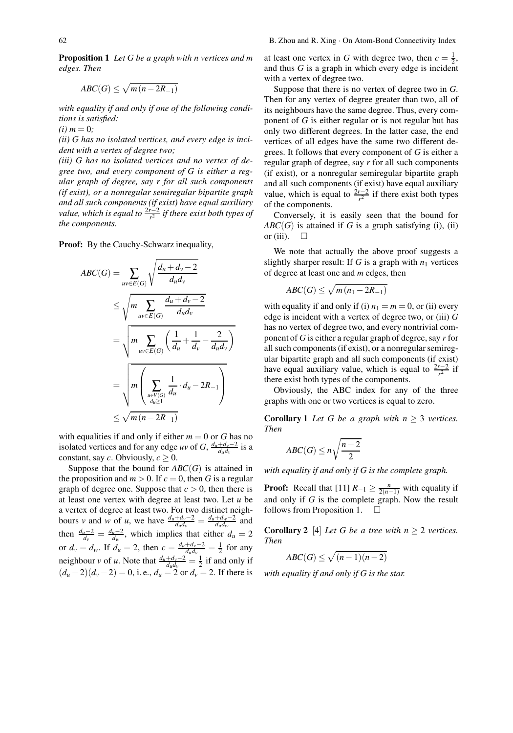Proposition 1 *Let G be a graph with n vertices and m edges. Then*

$$
ABC(G) \leq \sqrt{m(n-2R_{-1})}
$$

*with equality if and only if one of the following conditions is satisfied:*

 $(i)$  *m* = 0;

*(ii) G has no isolated vertices, and every edge is incident with a vertex of degree two;*

*(iii) G has no isolated vertices and no vertex of degree two, and every component of G is either a regular graph of degree, say r for all such components (if exist), or a nonregular semiregular bipartite graph and all such components (if exist) have equal auxiliary value, which is equal to*  $\frac{2r-2}{r^2}$  *if there exist both types of the components.*

Proof: By the Cauchy-Schwarz inequality,

$$
ABC(G) = \sum_{uv \in E(G)} \sqrt{\frac{d_u + d_v - 2}{d_u d_v}}
$$
  
\n
$$
\leq \sqrt{m \sum_{uv \in E(G)} \frac{d_u + d_v - 2}{d_u d_v}}
$$
  
\n
$$
= \sqrt{m \sum_{uv \in E(G)} \left(\frac{1}{d_u} + \frac{1}{d_v} - \frac{2}{d_u d_v}\right)}
$$
  
\n
$$
= \sqrt{m \left(\sum_{\substack{u \in V(G) \\ d_u \geq 1}} \frac{1}{d_u} \cdot d_u - 2R_{-1}\right)}
$$
  
\n
$$
\leq \sqrt{m (n - 2R_{-1})}
$$

with equalities if and only if either  $m = 0$  or  $G$  has no isolated vertices and for any edge *uv* of *G*,  $\frac{d_u + d_v - 2}{d_u d_v}$  is a constant, say *c*. Obviously,  $c \geq 0$ .

Suppose that the bound for  $ABC(G)$  is attained in the proposition and  $m > 0$ . If  $c = 0$ , then G is a regular graph of degree one. Suppose that  $c > 0$ , then there is at least one vertex with degree at least two. Let *u* be a vertex of degree at least two. For two distinct neighbours *v* and *w* of *u*, we have  $\frac{d_u + d_v - 2}{d_u d_v} = \frac{d_u + d_w - 2}{d_u d_w}$  and then  $\frac{d_u - 2}{d_v} = \frac{d_u - 2}{d_w}$ , which implies that either  $d_u = 2$ or  $d_v = d_w$ . If  $d_u = 2$ , then  $c = \frac{d_u + d_v - 2}{d_u d_v} = \frac{1}{2}$  for any neighbour *v* of *u*. Note that  $\frac{d_u + d_v - 2}{d_u d_v} = \frac{1}{2}$  if and only if  $(d_u - 2)(d_v - 2) = 0$ , i.e.,  $d_u = 2$  or  $d_v = 2$ . If there is

at least one vertex in *G* with degree two, then  $c = \frac{1}{2}$ , and thus *G* is a graph in which every edge is incident with a vertex of degree two.

Suppose that there is no vertex of degree two in *G*. Then for any vertex of degree greater than two, all of its neighbours have the same degree. Thus, every component of *G* is either regular or is not regular but has only two different degrees. In the latter case, the end vertices of all edges have the same two different degrees. It follows that every component of *G* is either a regular graph of degree, say *r* for all such components (if exist), or a nonregular semiregular bipartite graph and all such components (if exist) have equal auxiliary value, which is equal to  $\frac{2r-2}{r^2}$  if there exist both types of the components.

Conversely, it is easily seen that the bound for  $ABC(G)$  is attained if *G* is a graph satisfying (i), (ii) or (iii).  $\square$ 

We note that actually the above proof suggests a slightly sharper result: If  $G$  is a graph with  $n_1$  vertices of degree at least one and *m* edges, then

$$
ABC(G) \leq \sqrt{m(n_1 - 2R_{-1})}
$$

with equality if and only if (i)  $n_1 = m = 0$ , or (ii) every edge is incident with a vertex of degree two, or (iii) *G* has no vertex of degree two, and every nontrivial component of *G* is either a regular graph of degree, say *r* for all such components (if exist), or a nonregular semiregular bipartite graph and all such components (if exist) have equal auxiliary value, which is equal to  $\frac{2r-2}{r^2}$  if there exist both types of the components.

Obviously, the ABC index for any of the three graphs with one or two vertices is equal to zero.

**Corollary 1** *Let G be a graph with*  $n \geq 3$  *vertices. Then*

$$
ABC(G) \le n\sqrt{\frac{n-2}{2}}
$$

*with equality if and only if G is the complete graph.*

**Proof:** Recall that  $[11]$   $R_{-1} \ge \frac{n}{2(n-1)}$  with equality if and only if *G* is the complete graph. Now the result follows from Proposition 1.  $\Box$ 

**Corollary 2** [4] *Let G be a tree with*  $n \geq 2$  *vertices. Then*

$$
ABC(G) \le \sqrt{(n-1)(n-2)}
$$

*with equality if and only if G is the star.*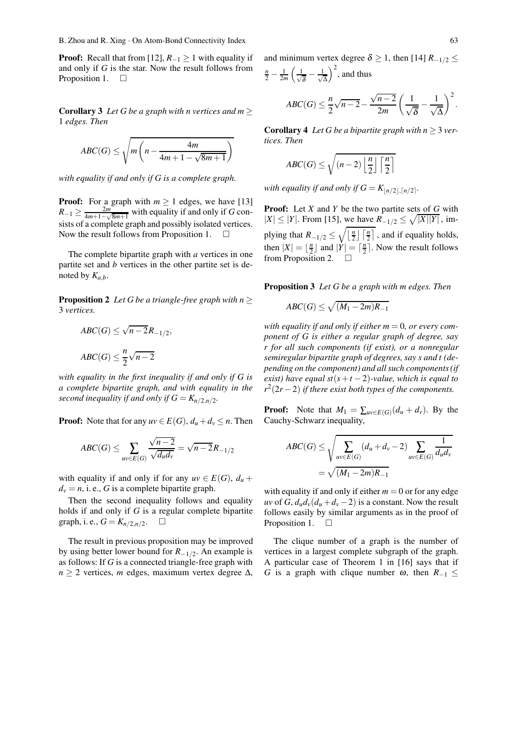**Proof:** Recall that from [12],  $R_{-1} \ge 1$  with equality if and only if *G* is the star. Now the result follows from Proposition 1.  $\square$ 

**Corollary 3** *Let G be a graph with n vertices and m*  $\geq$ 1 *edges. Then*

$$
ABC(G) \le \sqrt{m\left(n - \frac{4m}{4m+1 - \sqrt{8m+1}}\right)}
$$

*with equality if and only if G is a complete graph.*

**Proof:** For a graph with  $m \ge 1$  edges, we have [13]  $R_{-1} \geq \frac{2m}{4m+1-\sqrt{8m+1}}$  with equality if and only if *G* consists of a complete graph and possibly isolated vertices. Now the result follows from Proposition 1.

The complete bipartite graph with *a* vertices in one partite set and *b* vertices in the other partite set is denoted by  $K_{a,b}$ .

**Proposition 2** *Let G be a triangle-free graph with n*  $\geq$ 3 *vertices.*

$$
ABC(G) \le \sqrt{n-2}R_{-1/2},
$$
  

$$
ABC(G) \le \frac{n}{2}\sqrt{n-2}
$$

*with equality in the first inequality if and only if G is a complete bipartite graph, and with equality in the second inequality if and only if*  $G = K_{n/2,n/2}$ *.* 

**Proof:** Note that for any  $uv \in E(G)$ ,  $d_u + d_v \le n$ . Then

$$
ABC(G) \le \sum_{uv \in E(G)} \frac{\sqrt{n-2}}{\sqrt{d_u d_v}} = \sqrt{n-2}R_{-1/2}
$$

with equality if and only if for any  $uv \in E(G)$ ,  $d_u$  +  $d_v = n$ , i. e., *G* is a complete bipartite graph.

Then the second inequality follows and equality holds if and only if *G* is a regular complete bipartite graph, i. e.,  $G = K_{n/2,n/2}$ .  $\square$ 

The result in previous proposition may be improved by using better lower bound for *R*−1*/*2. An example is as follows: If *G* is a connected triangle-free graph with *n* ≥ 2 vertices, *m* edges, maximum vertex degree ∆, and minimum vertex degree  $\delta \geq 1$ , then [14]  $R_{-1/2} \leq$  $\frac{n}{2} - \frac{1}{2m} \left( \frac{1}{\sqrt{\delta}} - \frac{1}{\sqrt{\delta}} \right)$  $\frac{1}{\Delta}$  and thus

$$
ABC(G) \leq \frac{n}{2}\sqrt{n-2} - \frac{\sqrt{n-2}}{2m} \left(\frac{1}{\sqrt{\delta}} - \frac{1}{\sqrt{\Delta}}\right)^2.
$$

**Corollary 4** Let G be a bipartite graph with  $n \geq 3$  ver*tices. Then*

$$
ABC(G) \le \sqrt{(n-2)\left\lfloor \frac{n}{2} \right\rfloor \left\lceil \frac{n}{2} \right\rceil}
$$

*with equality if and only if*  $G = K_{\lfloor n/2 \rfloor, \lceil n/2 \rceil}$ .

Proof: Let *X* and *Y* be the two partite sets of *G* with  $|X|$  ≤ |*Y*|. From [15], we have  $R_{-1/2}$  ≤  $\sqrt{|X||Y|}$ , implying that  $R_{-1/2} \le \sqrt{\left\lfloor \frac{n}{2} \right\rfloor \left\lceil \frac{n}{2} \right\rceil}$ , and if equality holds, then  $|X| = \lfloor \frac{n}{2} \rfloor$  and  $|\dot{Y}| = \lceil \frac{n}{2} \rceil$ . Now the result follows from Proposition 2.  $\Box$ 

Proposition 3 *Let G be a graph with m edges. Then*

$$
ABC(G) \leq \sqrt{(M_1 - 2m)R_{-1}}
$$

*with equality if and only if either*  $m = 0$ *, or every component of G is either a regular graph of degree, say r for all such components (if exist), or a nonregular semiregular bipartite graph of degrees, say s and t (depending on the component) and all such components (if exist)* have equal  $st(s + t - 2)$ -value, which is equal to *r*2(2*r*−2) *if there exist both types of the components.*

**Proof:** Note that  $M_1 = \sum_{uv \in E(G)} (d_u + d_v)$ . By the Cauchy-Schwarz inequality,

$$
ABC(G) \le \sqrt{\sum_{uv \in E(G)} (d_u + d_v - 2) \sum_{uv \in E(G)} \frac{1}{d_u d_v}}
$$
  
=  $\sqrt{(M_1 - 2m)R_{-1}}$ 

with equality if and only if either  $m = 0$  or for any edge *uv* of *G*,  $d_u d_v (d_u + d_v - 2)$  is a constant. Now the result follows easily by similar arguments as in the proof of Proposition 1.  $\square$ 

The clique number of a graph is the number of vertices in a largest complete subgraph of the graph. A particular case of Theorem 1 in [16] says that if *G* is a graph with clique number  $\omega$ , then  $R_{-1} \leq$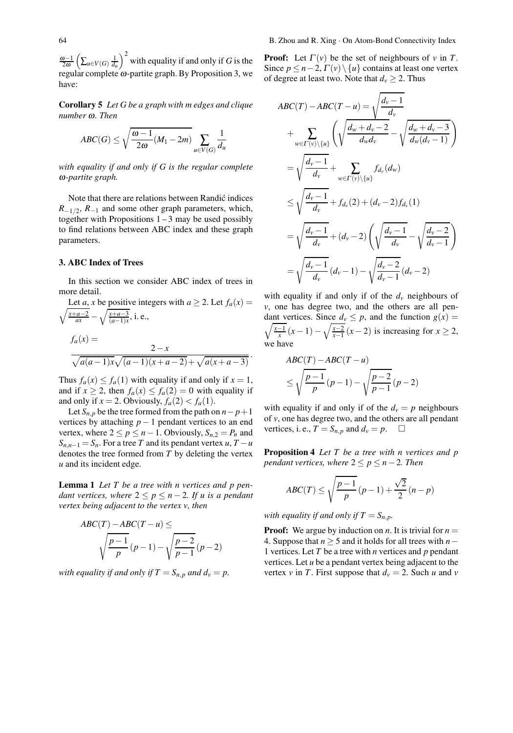$\frac{\omega-1}{2\omega}$   $\left(\sum_{u\in V(G)}\frac{1}{d_u}\right)^2$  with equality if and only if *G* is the regular complete  $\omega$ -partite graph. By Proposition 3, we have:

Corollary 5 *Let G be a graph with m edges and clique number* <sup>ω</sup>*. Then*

$$
ABC(G) \le \sqrt{\frac{\omega - 1}{2\omega} (M_1 - 2m)} \sum_{u \in V(G)} \frac{1}{d_u}
$$

*with equality if and only if G is the regular complete* <sup>ω</sup>*-partite graph.*

Note that there are relations between Randić indices  $R_{-1/2}$ ,  $R_{-1}$  and some other graph parameters, which, together with Propositions  $1 - 3$  may be used possibly to find relations between ABC index and these graph parameters.

## 3. ABC Index of Trees

In this section we consider ABC index of trees in more detail.

Let *a*, *x* be positive integers with 
$$
a \ge 2
$$
. Let  $f_a(x) = \sqrt{\frac{x+a-2}{ax}} - \sqrt{\frac{x+a-3}{(a-1)x}}$ , i.e.,  
\n
$$
f_a(x) = \frac{2-x}{\sqrt{a(a-1)x}\sqrt{(a-1)(x+a-2)} + \sqrt{a(x+a-3)}}
$$

Thus  $f_a(x) \le f_a(1)$  with equality if and only if  $x = 1$ , and if  $x \ge 2$ , then  $f_a(x) \le f_a(2) = 0$  with equality if and only if  $x = 2$ . Obviously,  $f_a(2) < f_a(1)$ .

Let  $S_{n,p}$  be the tree formed from the path on  $n-p+1$ vertices by attaching  $p - 1$  pendant vertices to an end vertex, where  $2 \le p \le n - 1$ . Obviously,  $S_{n,2} = P_n$  and  $S_{n,n-1} = S_n$ . For a tree *T* and its pendant vertex *u*, *T* − *u* denotes the tree formed from *T* by deleting the vertex *u* and its incident edge.

Lemma 1 *Let T be a tree with n vertices and p pendant vertices, where*  $2 \le p \le n-2$ *. If u is a pendant vertex being adjacent to the vertex v, then*

$$
ABC(T) - ABC(T - u) \le
$$

$$
\sqrt{\frac{p-1}{p}}(p-1) - \sqrt{\frac{p-2}{p-1}}(p-2)
$$

*with equality if and only if*  $T = S_{n,p}$  *and*  $d_v = p$ *.* 

**Proof:** Let  $\Gamma(v)$  be the set of neighbours of *v* in *T*. Since  $p \le n-2$ ,  $\Gamma(v) \setminus \{u\}$  contains at least one vertex of degree at least two. Note that  $d_v \geq 2$ . Thus

$$
ABC(T) - ABC(T - u) = \sqrt{\frac{d_v - 1}{d_v}}
$$
  
+ 
$$
\sum_{w \in \Gamma(v) \setminus \{u\}} \left( \sqrt{\frac{d_w + d_v - 2}{d_w d_v}} - \sqrt{\frac{d_w + d_v - 3}{d_w (d_v - 1)}} \right)
$$
  
= 
$$
\sqrt{\frac{d_v - 1}{d_v}} + \sum_{w \in \Gamma(v) \setminus \{u\}} f_{d_v}(d_w)
$$
  

$$
\leq \sqrt{\frac{d_v - 1}{d_v}} + f_{d_v}(2) + (d_v - 2) f_{d_v}(1)
$$
  
= 
$$
\sqrt{\frac{d_v - 1}{d_v}} + (d_v - 2) \left( \sqrt{\frac{d_v - 1}{d_v}} - \sqrt{\frac{d_v - 2}{d_v - 1}} \right)
$$
  
= 
$$
\sqrt{\frac{d_v - 1}{d_v}} (d_v - 1) - \sqrt{\frac{d_v - 2}{d_v - 1}} (d_v - 2)
$$

with equality if and only if of the  $d<sub>v</sub>$  neighbours of *v*, one has degree two, and the others are all pen-  $\sqrt{\frac{x-1}{x}}$  (*x* − 1) −  $\sqrt{\frac{x-2}{x-1}}$  (*x* − 2) is increasing for *x* ≥ 2, dant vertices. Since  $d_v \leq p$ , and the function  $g(x) =$ we have

$$
ABC(T) - ABC(T - u)
$$
  
\n
$$
\leq \sqrt{\frac{p-1}{p}} (p-1) - \sqrt{\frac{p-2}{p-1}} (p-2)
$$

with equality if and only if of the  $d<sub>v</sub> = p$  neighbours of *v*, one has degree two, and the others are all pendant vertices, i.e.,  $T = S_{n,p}$  and  $d_v = p$ .  $\Box$ 

Proposition 4 *Let T be a tree with n vertices and p pendant vertices, where*  $2 \le p \le n - 2$ *. Then* 

$$
ABC(T) \le \sqrt{\frac{p-1}{p}}(p-1) + \frac{\sqrt{2}}{2}(n-p)
$$

*with equality if and only if*  $T = S_{n,p}$ *.* 

**Proof:** We argue by induction on *n*. It is trivial for  $n =$ 4. Suppose that *n* ≥ 5 and it holds for all trees with *n*− 1 vertices. Let *T* be a tree with *n* vertices and *p* pendant vertices. Let *u* be a pendant vertex being adjacent to the vertex *v* in *T*. First suppose that  $d_v = 2$ . Such *u* and *v*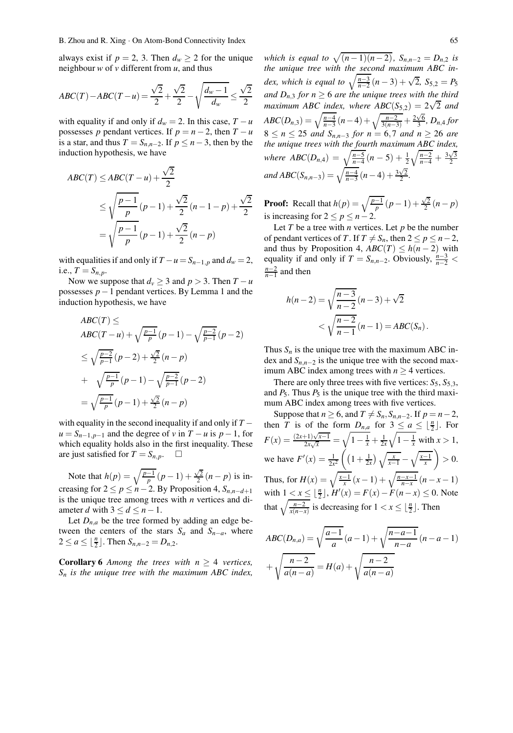always exist if  $p = 2$ , 3. Then  $d_w \ge 2$  for the unique neighbour *w* of *v* different from *u*, and thus

$$
ABC(T) - ABC(T - u) = \frac{\sqrt{2}}{2} + \frac{\sqrt{2}}{2} - \sqrt{\frac{d_w - 1}{d_w}} \le \frac{\sqrt{2}}{2}
$$

with equality if and only if  $d_w = 2$ . In this case,  $T - u$ possesses *p* pendant vertices. If  $p = n - 2$ , then  $T - u$ is a star, and thus  $T = S_{n,n-2}$ . If  $p \leq n-3$ , then by the induction hypothesis, we have

$$
ABC(T) \le ABC(T - u) + \frac{\sqrt{2}}{2}
$$
  
\n
$$
\le \sqrt{\frac{p-1}{p}}(p-1) + \frac{\sqrt{2}}{2}(n-1-p) + \frac{\sqrt{2}}{2}
$$
  
\n
$$
= \sqrt{\frac{p-1}{p}}(p-1) + \frac{\sqrt{2}}{2}(n-p)
$$

with equalities if and only if  $T - u = S_{n-1,p}$  and  $d_w = 2$ , i.e.,  $T = S_{n,p}$ .

Now we suppose that  $d_v \geq 3$  and  $p > 3$ . Then  $T - u$ possesses *p*−1 pendant vertices. By Lemma 1 and the induction hypothesis, we have

$$
ABC(T) \le
$$
  
\n
$$
ABC(T - u) + \sqrt{\frac{p-1}{p}} (p - 1) - \sqrt{\frac{p-2}{p-1}} (p - 2)
$$
  
\n
$$
\leq \sqrt{\frac{p-2}{p-1}} (p - 2) + \frac{\sqrt{2}}{2} (n - p)
$$
  
\n
$$
+ \sqrt{\frac{p-1}{p}} (p - 1) - \sqrt{\frac{p-2}{p-1}} (p - 2)
$$
  
\n
$$
= \sqrt{\frac{p-1}{p}} (p - 1) + \frac{\sqrt{2}}{2} (n - p)
$$

with equality in the second inequality if and only if *T* −  $u = S_{n-1,p-1}$  and the degree of *v* in  $T - u$  is  $p - 1$ , for which equality holds also in the first inequality. These are just satisfied for  $T = S_{n,p}$ .  $\Box$ 

Note that  $h(p) = \sqrt{\frac{p-1}{p}} (p-1) +$  $\frac{\sqrt{2}}{2}(n-p)$  is increasing for  $2 \le p \le n-2$ . By Proposition 4,  $S_{n,n-d+1}$ is the unique tree among trees with *n* vertices and diameter *d* with  $3 \le d \le n-1$ .

Let  $D_{n,a}$  be the tree formed by adding an edge between the centers of the stars  $S_a$  and  $S_{n-a}$ , where  $2 \le a \le \lfloor \frac{n}{2} \rfloor$ . Then  $S_{n,n-2} = D_{n,2}$ .

**Corollary 6** *Among the trees with*  $n \geq 4$  *vertices, Sn is the unique tree with the maximum ABC index,*

*which is equal to*  $\sqrt{(n-1)(n-2)}$ *,*  $S_{n,n-2} = D_{n,2}$  *is the unique tree with the second maximum ABC index, which is equal to*  $\sqrt{\frac{n-3}{n-2}}$   $(n-3) + \sqrt{2}$ ,  $S_{5,2} = P_5$ *and D<sub>n</sub>*, *for*  $n \geq 6$  *are the unique trees with the third maximum ABC index, where*  $ABC(S_{5,2}) = 2\sqrt{2}$  *and*  $ABC(D_{n,3}) = \sqrt{\frac{n-4}{n-3}}(n-4) + \sqrt{\frac{n-2}{3(n-3)}} + \frac{2\sqrt{6}}{3}$ , D<sub>n,4</sub> for  $8 ≤ n ≤ 25$  *and*  $S_{n,n-3}$  *for*  $n = 6,7$  *and*  $n ≥ 26$  *are the unique trees with the fourth maximum ABC index, where*  $ABC(D_{n,4}) = \sqrt{\frac{n-5}{n-4}}(n-5) + \frac{1}{2}\sqrt{\frac{n-2}{n-4}} + \frac{3\sqrt{3}}{2}$  $and ABC(S_{n,n-3}) = \sqrt{\frac{n-4}{n-3}} (n-4) + \frac{3\sqrt{2}}{2}.$ 

**Proof:** Recall that  $h(p) = \sqrt{\frac{p-1}{p}} (p-1) + \frac{\sqrt{2}}{2} (n-p)$ is increasing for  $2 \le p \le n-2$ .

Let  $T$  be a tree with  $n$  vertices. Let  $p$  be the number of pendant vertices of *T*. If  $T \neq S_n$ , then  $2 \leq p \leq n-2$ , and thus by Proposition 4,  $ABC(T) \leq h(n-2)$  with equality if and only if  $T = S_{n,n-2}$ . Obviously,  $\frac{n-3}{n-2}$ *<sup>n</sup>*−<sup>2</sup> *<sup>n</sup>*−<sup>1</sup> and then

$$
h(n-2) = \sqrt{\frac{n-3}{n-2}} (n-3) + \sqrt{2}
$$
  
< 
$$
< \sqrt{\frac{n-2}{n-1}} (n-1) = ABC(S_n).
$$

Thus  $S_n$  is the unique tree with the maximum ABC index and  $S_{n,n-2}$  is the unique tree with the second maximum ABC index among trees with  $n \geq 4$  vertices.

There are only three trees with five vertices:  $S_5$ ,  $S_{5,3}$ , and  $P_5$ . Thus  $P_5$  is the unique tree with the third maximum ABC index among trees with five vertices.

Suppose that  $n \ge 6$ , and  $T \ne S_n$ ,  $S_{n,n-2}$ . If  $p = n-2$ , then *T* is of the form  $D_{n,a}$  for  $3 \le a \le \lfloor \frac{n}{2} \rfloor$ . For  $F(x) = \frac{(2x+1)\sqrt{x-1}}{2x\sqrt{x}}$  $\frac{1+1\sqrt{x-1}}{2x\sqrt{x}} = \sqrt{1-\frac{1}{x}} + \frac{1}{2x}\sqrt{1-\frac{1}{x}}$  with  $x > 1$ , we have  $F'(x) = \frac{1}{2x^2} \left( \left(1 + \frac{1}{2x}\right) \sqrt{\frac{x}{x-1}} - \sqrt{\frac{x-1}{x}} \right)$  $\Big\} > 0.$ Thus, for  $H(x) = \sqrt{\frac{x-1}{x}} (x-1) + \sqrt{\frac{n-x-1}{n-x}} (n-x-1)$ with  $1 \le x \le \lfloor \frac{n}{2} \rfloor$ ,  $H'(x) = F(x) - F(n-x) \le 0$ . Note that  $\sqrt{\frac{n-2}{x(n-x)}}$  is decreasing for  $1 < x \leq \lfloor \frac{n}{2} \rfloor$ . Then

$$
ABC(D_{n,a}) = \sqrt{\frac{a-1}{a}} (a-1) + \sqrt{\frac{n-a-1}{n-a}} (n-a-1)
$$

$$
+ \sqrt{\frac{n-2}{a(n-a)}} = H(a) + \sqrt{\frac{n-2}{a(n-a)}}
$$